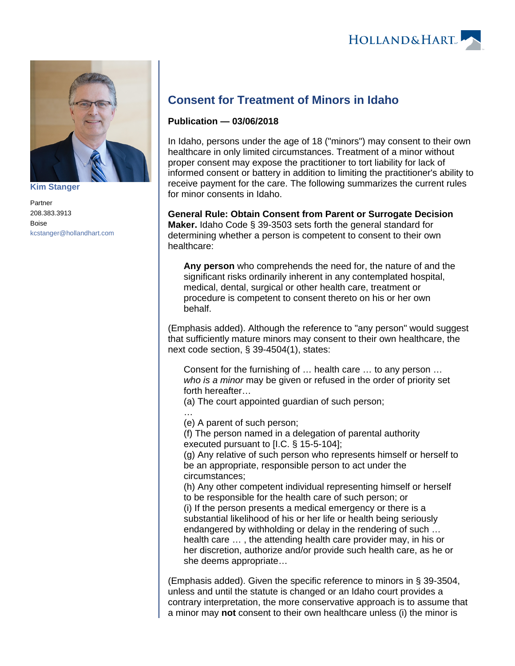

**[Kim Stanger](https://www.hollandhart.com/15954)**

Partner 208.383.3913 Boise [kcstanger@hollandhart.com](mailto:kcstanger@hollandhart.com)

## **Consent for Treatment of Minors in Idaho**

## **Publication — 03/06/2018**

In Idaho, persons under the age of 18 ("minors") may consent to their own healthcare in only limited circumstances. Treatment of a minor without proper consent may expose the practitioner to tort liability for lack of informed consent or battery in addition to limiting the practitioner's ability to receive payment for the care. The following summarizes the current rules for minor consents in Idaho.

**General Rule: Obtain Consent from Parent or Surrogate Decision Maker.** Idaho Code § 39-3503 sets forth the general standard for determining whether a person is competent to consent to their own healthcare:

**Any person** who comprehends the need for, the nature of and the significant risks ordinarily inherent in any contemplated hospital, medical, dental, surgical or other health care, treatment or procedure is competent to consent thereto on his or her own behalf.

(Emphasis added). Although the reference to "any person" would suggest that sufficiently mature minors may consent to their own healthcare, the next code section, § 39-4504(1), states:

Consent for the furnishing of … health care … to any person … who is a minor may be given or refused in the order of priority set forth hereafter…

(a) The court appointed guardian of such person;

…

(e) A parent of such person;

(f) The person named in a delegation of parental authority executed pursuant to [I.C. § 15-5-104];

(g) Any relative of such person who represents himself or herself to be an appropriate, responsible person to act under the circumstances;

(h) Any other competent individual representing himself or herself to be responsible for the health care of such person; or (i) If the person presents a medical emergency or there is a substantial likelihood of his or her life or health being seriously endangered by withholding or delay in the rendering of such … health care … , the attending health care provider may, in his or

her discretion, authorize and/or provide such health care, as he or she deems appropriate…

(Emphasis added). Given the specific reference to minors in § 39-3504, unless and until the statute is changed or an Idaho court provides a contrary interpretation, the more conservative approach is to assume that a minor may **not** consent to their own healthcare unless (i) the minor is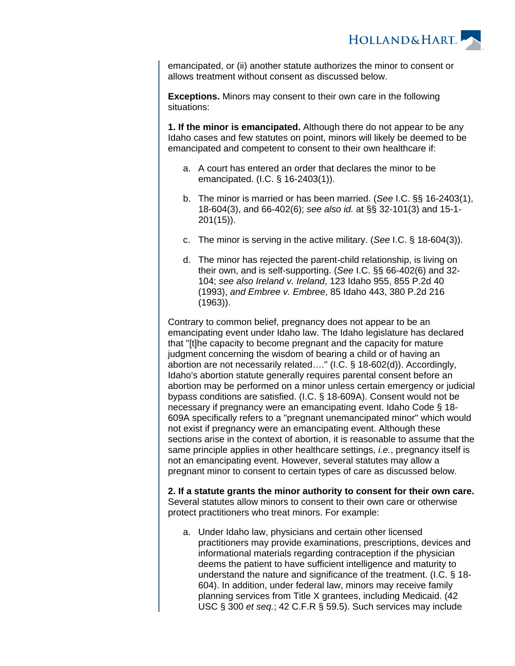

emancipated, or (ii) another statute authorizes the minor to consent or allows treatment without consent as discussed below.

**Exceptions.** Minors may consent to their own care in the following situations:

**1. If the minor is emancipated.** Although there do not appear to be any Idaho cases and few statutes on point, minors will likely be deemed to be emancipated and competent to consent to their own healthcare if:

- a. A court has entered an order that declares the minor to be emancipated. (I.C. § 16-2403(1)).
- b. The minor is married or has been married. (See I.C. §§ 16-2403(1), 18-604(3), and 66-402(6); see also id. at §§ 32-101(3) and 15-1- 201(15)).
- c. The minor is serving in the active military. (See I.C. § 18-604(3)).
- d. The minor has rejected the parent-child relationship, is living on their own, and is self-supporting. (See I.C. §§ 66-402(6) and 32- 104; see also Ireland v. Ireland, 123 Idaho 955, 855 P.2d 40 (1993), and Embree v. Embree, 85 Idaho 443, 380 P.2d 216 (1963)).

Contrary to common belief, pregnancy does not appear to be an emancipating event under Idaho law. The Idaho legislature has declared that "[t]he capacity to become pregnant and the capacity for mature judgment concerning the wisdom of bearing a child or of having an abortion are not necessarily related…." (I.C. § 18-602(d)). Accordingly, Idaho's abortion statute generally requires parental consent before an abortion may be performed on a minor unless certain emergency or judicial bypass conditions are satisfied. (I.C. § 18-609A). Consent would not be necessary if pregnancy were an emancipating event. Idaho Code § 18- 609A specifically refers to a "pregnant unemancipated minor" which would not exist if pregnancy were an emancipating event. Although these sections arise in the context of abortion, it is reasonable to assume that the same principle applies in other healthcare settings, *i.e.*, pregnancy itself is not an emancipating event. However, several statutes may allow a pregnant minor to consent to certain types of care as discussed below.

**2. If a statute grants the minor authority to consent for their own care.** Several statutes allow minors to consent to their own care or otherwise protect practitioners who treat minors. For example:

a. Under Idaho law, physicians and certain other licensed practitioners may provide examinations, prescriptions, devices and informational materials regarding contraception if the physician deems the patient to have sufficient intelligence and maturity to understand the nature and significance of the treatment. (I.C. § 18- 604). In addition, under federal law, minors may receive family planning services from Title X grantees, including Medicaid. (42 USC § 300 et seq.; 42 C.F.R § 59.5). Such services may include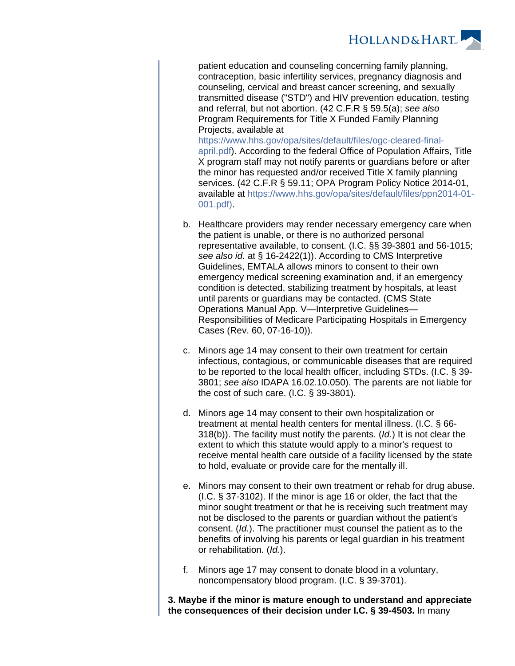**HOLLAND&HART** 

patient education and counseling concerning family planning, contraception, basic infertility services, pregnancy diagnosis and counseling, cervical and breast cancer screening, and sexually transmitted disease ("STD") and HIV prevention education, testing and referral, but not abortion. (42 C.F.R § 59.5(a); see also Program Requirements for Title X Funded Family Planning Projects, available at

[https://www.hhs.gov/opa/sites/default/files/ogc-cleared-final](https://www.hhs.gov/opa/sites/default/files/ogc-cleared-final-april.pdf)[april.pdf\)](https://www.hhs.gov/opa/sites/default/files/ogc-cleared-final-april.pdf). According to the federal Office of Population Affairs, Title X program staff may not notify parents or guardians before or after the minor has requested and/or received Title X family planning services. (42 C.F.R § 59.11; OPA Program Policy Notice 2014-01, available at [https://www.hhs.gov/opa/sites/default/files/ppn2014-01-](https://www.hhs.gov/opa/sites/default/files/ppn2014-01-001.pdf) [001.pdf\)](https://www.hhs.gov/opa/sites/default/files/ppn2014-01-001.pdf).

- b. Healthcare providers may render necessary emergency care when the patient is unable, or there is no authorized personal representative available, to consent. (I.C. §§ 39-3801 and 56-1015; see also id. at § 16-2422(1)). According to CMS Interpretive Guidelines, EMTALA allows minors to consent to their own emergency medical screening examination and, if an emergency condition is detected, stabilizing treatment by hospitals, at least until parents or guardians may be contacted. (CMS State Operations Manual App. V—Interpretive Guidelines— Responsibilities of Medicare Participating Hospitals in Emergency Cases (Rev. 60, 07-16-10)).
- c. Minors age 14 may consent to their own treatment for certain infectious, contagious, or communicable diseases that are required to be reported to the local health officer, including STDs. (I.C. § 39- 3801; see also IDAPA 16.02.10.050). The parents are not liable for the cost of such care. (I.C. § 39-3801).
- d. Minors age 14 may consent to their own hospitalization or treatment at mental health centers for mental illness. (I.C. § 66- 318(b)). The facility must notify the parents. (Id.) It is not clear the extent to which this statute would apply to a minor's request to receive mental health care outside of a facility licensed by the state to hold, evaluate or provide care for the mentally ill.
- e. Minors may consent to their own treatment or rehab for drug abuse. (I.C. § 37-3102). If the minor is age 16 or older, the fact that the minor sought treatment or that he is receiving such treatment may not be disclosed to the parents or guardian without the patient's consent. (Id.). The practitioner must counsel the patient as to the benefits of involving his parents or legal guardian in his treatment or rehabilitation. (Id.).
- f. Minors age 17 may consent to donate blood in a voluntary, noncompensatory blood program. (I.C. § 39-3701).

**3. Maybe if the minor is mature enough to understand and appreciate the consequences of their decision under I.C. § 39-4503.** In many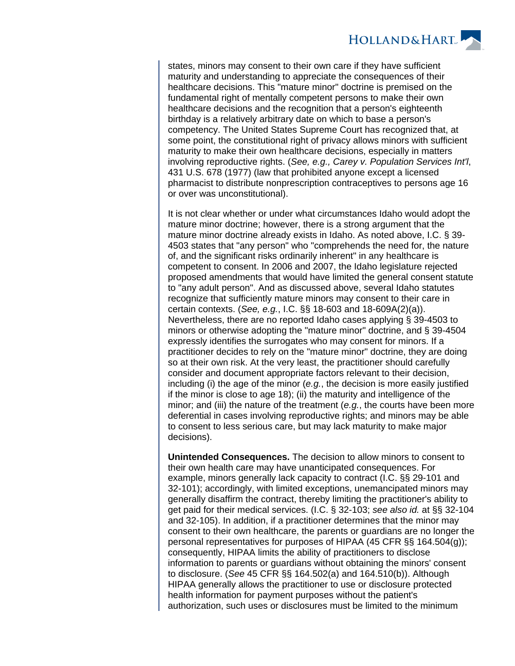**HOLLAND&HART** 

states, minors may consent to their own care if they have sufficient maturity and understanding to appreciate the consequences of their healthcare decisions. This "mature minor" doctrine is premised on the fundamental right of mentally competent persons to make their own healthcare decisions and the recognition that a person's eighteenth birthday is a relatively arbitrary date on which to base a person's competency. The United States Supreme Court has recognized that, at some point, the constitutional right of privacy allows minors with sufficient maturity to make their own healthcare decisions, especially in matters involving reproductive rights. (See, e.g., Carey v. Population Services Int'l, 431 U.S. 678 (1977) (law that prohibited anyone except a licensed pharmacist to distribute nonprescription contraceptives to persons age 16 or over was unconstitutional).

It is not clear whether or under what circumstances Idaho would adopt the mature minor doctrine; however, there is a strong argument that the mature minor doctrine already exists in Idaho. As noted above, I.C. § 39- 4503 states that "any person" who "comprehends the need for, the nature of, and the significant risks ordinarily inherent" in any healthcare is competent to consent. In 2006 and 2007, the Idaho legislature rejected proposed amendments that would have limited the general consent statute to "any adult person". And as discussed above, several Idaho statutes recognize that sufficiently mature minors may consent to their care in certain contexts. (See, e.g., I.C. §§ 18-603 and 18-609A(2)(a)). Nevertheless, there are no reported Idaho cases applying § 39-4503 to minors or otherwise adopting the "mature minor" doctrine, and § 39-4504 expressly identifies the surrogates who may consent for minors. If a practitioner decides to rely on the "mature minor" doctrine, they are doing so at their own risk. At the very least, the practitioner should carefully consider and document appropriate factors relevant to their decision, including (i) the age of the minor (e.g., the decision is more easily justified if the minor is close to age 18); (ii) the maturity and intelligence of the minor; and (iii) the nature of the treatment (e.g., the courts have been more deferential in cases involving reproductive rights; and minors may be able to consent to less serious care, but may lack maturity to make major decisions).

**Unintended Consequences.** The decision to allow minors to consent to their own health care may have unanticipated consequences. For example, minors generally lack capacity to contract (I.C. §§ 29-101 and 32-101); accordingly, with limited exceptions, unemancipated minors may generally disaffirm the contract, thereby limiting the practitioner's ability to get paid for their medical services. (I.C. § 32-103; see also id. at §§ 32-104 and 32-105). In addition, if a practitioner determines that the minor may consent to their own healthcare, the parents or guardians are no longer the personal representatives for purposes of HIPAA (45 CFR §§ 164.504(g)); consequently, HIPAA limits the ability of practitioners to disclose information to parents or guardians without obtaining the minors' consent to disclosure. (See 45 CFR §§ 164.502(a) and 164.510(b)). Although HIPAA generally allows the practitioner to use or disclosure protected health information for payment purposes without the patient's authorization, such uses or disclosures must be limited to the minimum